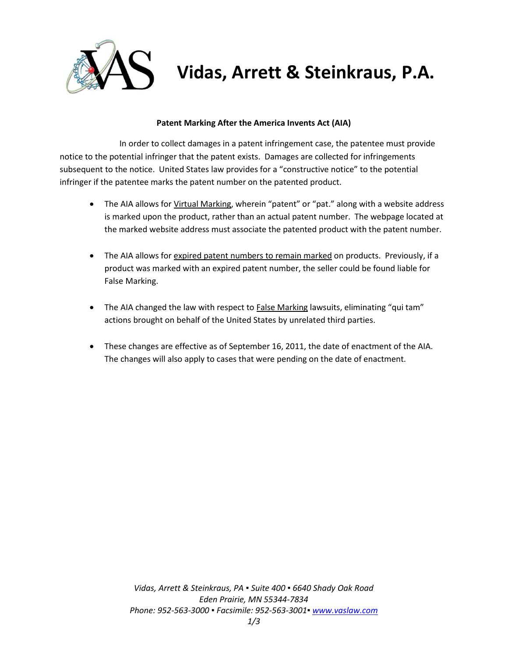

# **Vidas, Arrett & Steinkraus, P.A.**

### **Patent Marking After the America Invents Act (AIA)**

In order to collect damages in a patent infringement case, the patentee must provide notice to the potential infringer that the patent exists. Damages are collected for infringements subsequent to the notice. United States law provides for a "constructive notice" to the potential infringer if the patentee marks the patent number on the patented product.

- The AIA allows for Virtual Marking, wherein "patent" or "pat." along with a website address is marked upon the product, rather than an actual patent number. The webpage located at the marked website address must associate the patented product with the patent number.
- The AIA allows for expired patent numbers to remain marked on products. Previously, if a product was marked with an expired patent number, the seller could be found liable for False Marking.
- The AIA changed the law with respect to **False Marking lawsuits**, eliminating "qui tam" actions brought on behalf of the United States by unrelated third parties.
- These changes are effective as of September 16, 2011, the date of enactment of the AIA. The changes will also apply to cases that were pending on the date of enactment.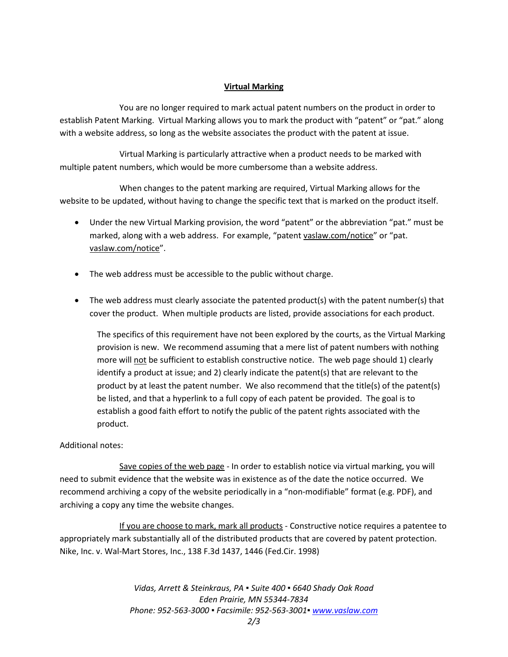## **Virtual Marking**

You are no longer required to mark actual patent numbers on the product in order to establish Patent Marking. Virtual Marking allows you to mark the product with "patent" or "pat." along with a website address, so long as the website associates the product with the patent at issue.

Virtual Marking is particularly attractive when a product needs to be marked with multiple patent numbers, which would be more cumbersome than a website address.

When changes to the patent marking are required, Virtual Marking allows for the website to be updated, without having to change the specific text that is marked on the product itself.

- Under the new Virtual Marking provision, the word "patent" or the abbreviation "pat." must be marked, along with a web address. For example, "patent vaslaw.com/notice" or "pat. vaslaw.com/notice".
- The web address must be accessible to the public without charge.
- The web address must clearly associate the patented product(s) with the patent number(s) that cover the product. When multiple products are listed, provide associations for each product.

The specifics of this requirement have not been explored by the courts, as the Virtual Marking provision is new. We recommend assuming that a mere list of patent numbers with nothing more will not be sufficient to establish constructive notice. The web page should 1) clearly identify a product at issue; and 2) clearly indicate the patent(s) that are relevant to the product by at least the patent number. We also recommend that the title(s) of the patent(s) be listed, and that a hyperlink to a full copy of each patent be provided. The goal is to establish a good faith effort to notify the public of the patent rights associated with the product.

### Additional notes:

Save copies of the web page - In order to establish notice via virtual marking, you will need to submit evidence that the website was in existence as of the date the notice occurred. We recommend archiving a copy of the website periodically in a "non-modifiable" format (e.g. PDF), and archiving a copy any time the website changes.

If you are choose to mark, mark all products - Constructive notice requires a patentee to appropriately mark substantially all of the distributed products that are covered by patent protection. Nike, Inc. v. Wal-Mart Stores, Inc., 138 F.3d 1437, 1446 (Fed.Cir. 1998)

> *Vidas, Arrett & Steinkraus, PA ▪ Suite 400 ▪ 6640 Shady Oak Road Eden Prairie, MN 55344-7834 Phone: 952-563-3000 ▪ Facsimile: 952-563-3001[▪ www.vaslaw.com](http://www.vaslaw.com/)*